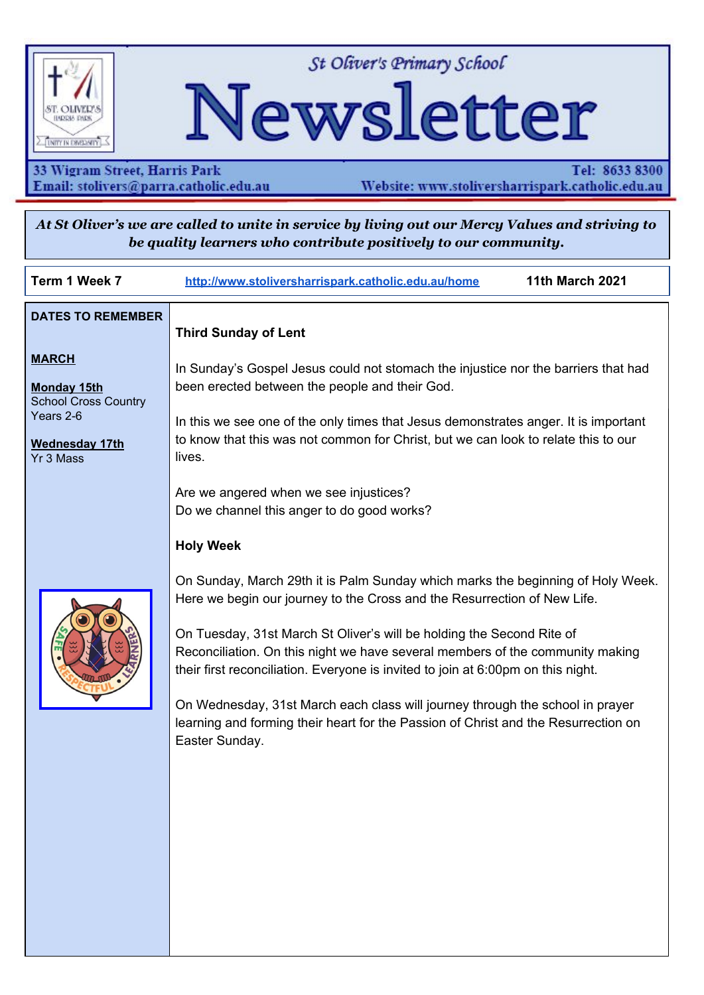

St Oliver's Primary School

# Newsletter

33 Wigram Street, Harris Park Email: stolivers@parra.catholic.edu.au

Tel: 8633 8300 Website: www.stoliversharrispark.catholic.edu.au

At St Oliver's we are called to unite in service by living out our Mercy Values and striving to be quality learners who contribute positively to our community.

| Term 1 Week 7                                                                                                                                    | http://www.stoliversharrispark.catholic.edu.au/home<br><b>11th March 2021</b>                                                                                                                                                                                                                                                                                                                                                                                                                                                                                                                                                                                                                                  |
|--------------------------------------------------------------------------------------------------------------------------------------------------|----------------------------------------------------------------------------------------------------------------------------------------------------------------------------------------------------------------------------------------------------------------------------------------------------------------------------------------------------------------------------------------------------------------------------------------------------------------------------------------------------------------------------------------------------------------------------------------------------------------------------------------------------------------------------------------------------------------|
| <b>DATES TO REMEMBER</b><br><b>MARCH</b><br><b>Monday 15th</b><br><b>School Cross Country</b><br>Years 2-6<br><b>Wednesday 17th</b><br>Yr 3 Mass | <b>Third Sunday of Lent</b><br>In Sunday's Gospel Jesus could not stomach the injustice nor the barriers that had<br>been erected between the people and their God.<br>In this we see one of the only times that Jesus demonstrates anger. It is important<br>to know that this was not common for Christ, but we can look to relate this to our<br>lives.                                                                                                                                                                                                                                                                                                                                                     |
|                                                                                                                                                  | Are we angered when we see injustices?<br>Do we channel this anger to do good works?<br><b>Holy Week</b><br>On Sunday, March 29th it is Palm Sunday which marks the beginning of Holy Week.<br>Here we begin our journey to the Cross and the Resurrection of New Life.<br>On Tuesday, 31st March St Oliver's will be holding the Second Rite of<br>Reconciliation. On this night we have several members of the community making<br>their first reconciliation. Everyone is invited to join at 6:00pm on this night.<br>On Wednesday, 31st March each class will journey through the school in prayer<br>learning and forming their heart for the Passion of Christ and the Resurrection on<br>Easter Sunday. |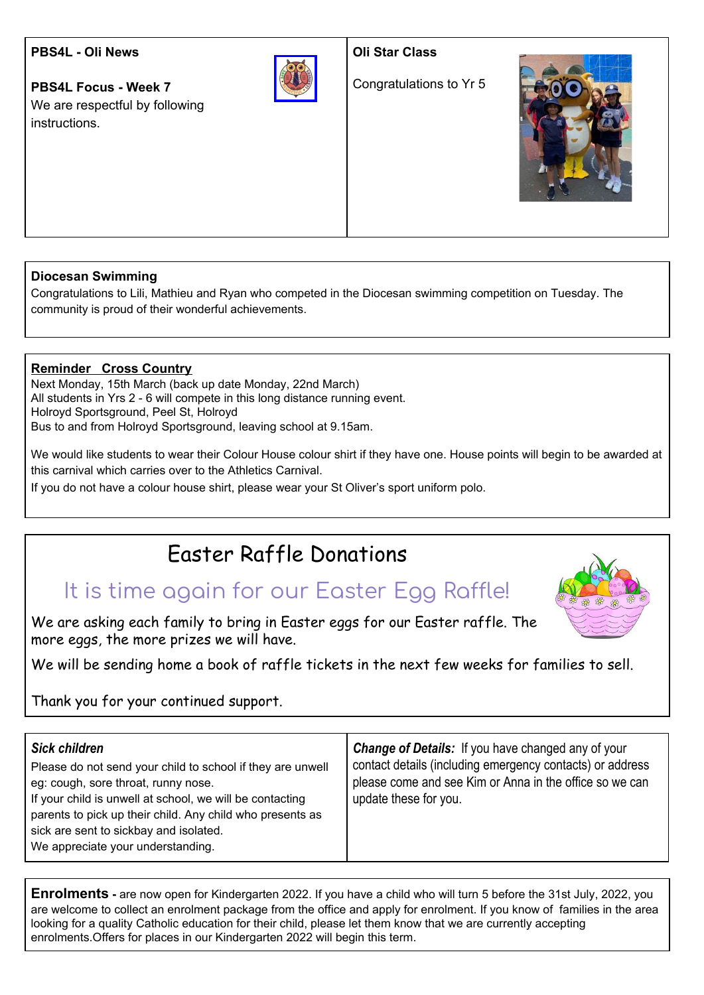#### **PBS4L - Oli News**

**PBS4L Focus - Week 7** We are respectful by following instructions.



**Oli Star Class**

Congratulations to Yr 5



#### **Diocesan Swimming**

Congratulations to Lili, Mathieu and Ryan who competed in the Diocesan swimming competition on Tuesday. The community is proud of their wonderful achievements.

#### **Reminder Cross Country**

Next Monday, 15th March (back up date Monday, 22nd March) All students in Yrs 2 - 6 will compete in this long distance running event. Holroyd Sportsground, Peel St, Holroyd Bus to and from Holroyd Sportsground, leaving school at 9.15am.

We would like students to wear their Colour House colour shirt if they have one. House points will begin to be awarded at this carnival which carries over to the Athletics Carnival.

If you do not have a colour house shirt, please wear your St Oliver's sport uniform polo.

## Easter Raffle Donations

## It is time again for our Easter Egg Raffle!

We are asking each family to bring in Easter eggs for our Easter raffle. The more eggs, the more prizes we will have.

We will be sending home a book of raffle tickets in the next few weeks for families to sell.

Thank you for your continued support.

| <b>Sick children</b>                                       | <b>Change of Details:</b> If you have changed any of your |
|------------------------------------------------------------|-----------------------------------------------------------|
| Please do not send your child to school if they are unwell | contact details (including emergency contacts) or address |
| eg: cough, sore throat, runny nose.                        | please come and see Kim or Anna in the office so we can   |
| If your child is unwell at school, we will be contacting   | update these for you.                                     |
| parents to pick up their child. Any child who presents as  |                                                           |
| sick are sent to sickbay and isolated.                     |                                                           |
| We appreciate your understanding.                          |                                                           |

**Enrolments -** are now open for Kindergarten 2022. If you have a child who will turn 5 before the 31st July, 2022, you are welcome to collect an enrolment package from the office and apply for enrolment. If you know of families in the area looking for a quality Catholic education for their child, please let them know that we are currently accepting enrolments.Offers for places in our Kindergarten 2022 will begin this term.

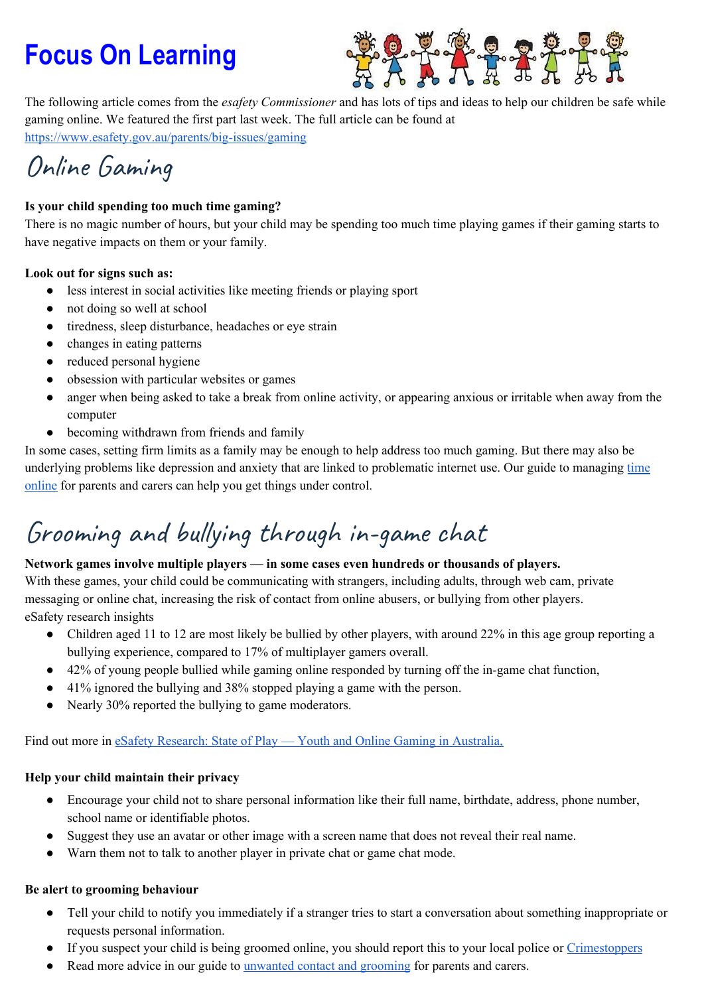# **Focus On Learning**



The following article comes from the *esafety Commissioner* and has lots of tips and ideas to help our children be safe while gaming online. We featured the first part last week. The full article can be found at <https://www.esafety.gov.au/parents/big-issues/gaming>

## Online Gaming

#### **Is your child spending too much time gaming?**

There is no magic number of hours, but your child may be spending too much time playing games if their gaming starts to have negative impacts on them or your family.

#### **Look out for signs such as:**

- less interest in social activities like meeting friends or playing sport
- not doing so well at school
- tiredness, sleep disturbance, headaches or eye strain
- changes in eating patterns
- reduced personal hygiene
- obsession with particular websites or games
- anger when being asked to take a break from online activity, or appearing anxious or irritable when away from the computer
- becoming withdrawn from friends and family

In some cases, setting firm limits as a family may be enough to help address too much gaming. But there may also be underlying problems like depression and anxiety that are linked to problematic internet use. Our guide to managing [time](https://www.esafety.gov.au/parents/big-issues/time-online) [online](https://www.esafety.gov.au/parents/big-issues/time-online) for parents and carers can help you get things under control.

## Grooming and bullying through in-game chat

#### **Network games involve multiple players — in some cases even hundreds or thousands of players.**

With these games, your child could be communicating with strangers, including adults, through web cam, private messaging or online chat, increasing the risk of contact from online abusers, or bullying from other players. eSafety research insights

- Children aged 11 to 12 are most likely be bullied by other players, with around 22% in this age group reporting a bullying experience, compared to 17% of multiplayer gamers overall.
- 42% of young people bullied while gaming online responded by turning off the in-game chat function,
- 41% ignored the bullying and 38% stopped playing a game with the person.
- Nearly 30% reported the bullying to game moderators.

Find out more in eSafety [Research:](https://www.esafety.gov.au/about-us/research/youth-online-gaming-state-of-play) State of Play — Youth and Online Gaming in Australia,

#### **Help your child maintain their privacy**

- Encourage your child not to share personal information like their full name, birthdate, address, phone number, school name or identifiable photos.
- Suggest they use an avatar or other image with a screen name that does not reveal their real name.
- Warn them not to talk to another player in private chat or game chat mode.

#### **Be alert to grooming behaviour**

- Tell your child to notify you immediately if a stranger tries to start a conversation about something inappropriate or requests personal information.
- If you suspect your child is being groomed online, you should report this to your local police or [Crimestoppers](https://www.crimestoppers.com.au/)
- Read more advice in our guide to unwanted contact and [grooming](https://www.esafety.gov.au/parents/big-issues/unwanted-contact) for parents and carers.